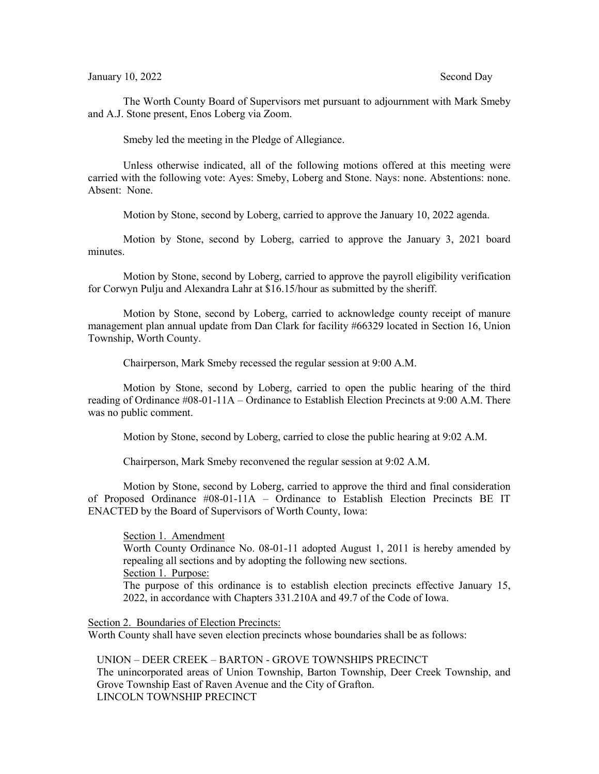The Worth County Board of Supervisors met pursuant to adjournment with Mark Smeby and A.J. Stone present, Enos Loberg via Zoom.

Smeby led the meeting in the Pledge of Allegiance.

Unless otherwise indicated, all of the following motions offered at this meeting were carried with the following vote: Ayes: Smeby, Loberg and Stone. Nays: none. Abstentions: none. Absent: None.

Motion by Stone, second by Loberg, carried to approve the January 10, 2022 agenda.

Motion by Stone, second by Loberg, carried to approve the January 3, 2021 board minutes.

Motion by Stone, second by Loberg, carried to approve the payroll eligibility verification for Corwyn Pulju and Alexandra Lahr at \$16.15/hour as submitted by the sheriff.

Motion by Stone, second by Loberg, carried to acknowledge county receipt of manure management plan annual update from Dan Clark for facility #66329 located in Section 16, Union Township, Worth County.

Chairperson, Mark Smeby recessed the regular session at 9:00 A.M.

Motion by Stone, second by Loberg, carried to open the public hearing of the third reading of Ordinance #08-01-11A – Ordinance to Establish Election Precincts at 9:00 A.M. There was no public comment.

Motion by Stone, second by Loberg, carried to close the public hearing at 9:02 A.M.

Chairperson, Mark Smeby reconvened the regular session at 9:02 A.M.

Motion by Stone, second by Loberg, carried to approve the third and final consideration of Proposed Ordinance #08-01-11A – Ordinance to Establish Election Precincts BE IT ENACTED by the Board of Supervisors of Worth County, Iowa:

Section 1. Amendment

Worth County Ordinance No. 08-01-11 adopted August 1, 2011 is hereby amended by repealing all sections and by adopting the following new sections. Section 1. Purpose:

The purpose of this ordinance is to establish election precincts effective January 15, 2022, in accordance with Chapters 331.210A and 49.7 of the Code of Iowa.

Section 2. Boundaries of Election Precincts:

Worth County shall have seven election precincts whose boundaries shall be as follows:

UNION – DEER CREEK – BARTON - GROVE TOWNSHIPS PRECINCT The unincorporated areas of Union Township, Barton Township, Deer Creek Township, and Grove Township East of Raven Avenue and the City of Grafton. LINCOLN TOWNSHIP PRECINCT